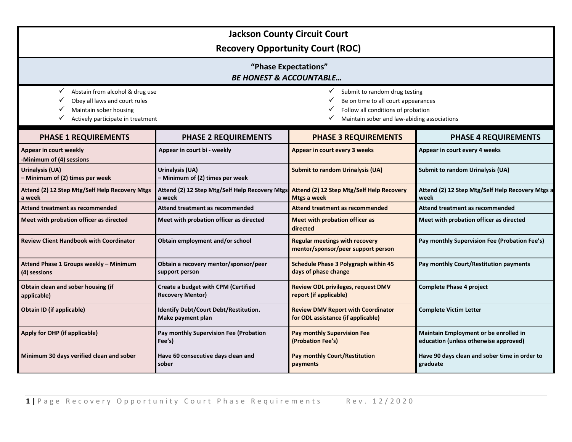| <b>Jackson County Circuit Court</b><br><b>Recovery Opportunity Court (ROC)</b>                                                            |                                                                |                                                                                                                                                                          |                                                                                |  |  |
|-------------------------------------------------------------------------------------------------------------------------------------------|----------------------------------------------------------------|--------------------------------------------------------------------------------------------------------------------------------------------------------------------------|--------------------------------------------------------------------------------|--|--|
| "Phase Expectations"<br><b>BE HONEST &amp; ACCOUNTABLE</b>                                                                                |                                                                |                                                                                                                                                                          |                                                                                |  |  |
| ✓<br>Abstain from alcohol & drug use<br>Obey all laws and court rules<br>✓<br>Maintain sober housing<br>Actively participate in treatment |                                                                | Submit to random drug testing<br>✓<br>✓<br>Be on time to all court appearances<br>✓<br>Follow all conditions of probation<br>Maintain sober and law-abiding associations |                                                                                |  |  |
| <b>PHASE 1 REQUIREMENTS</b>                                                                                                               | <b>PHASE 2 REQUIREMENTS</b>                                    | <b>PHASE 3 REQUIREMENTS</b>                                                                                                                                              | <b>PHASE 4 REQUIREMENTS</b>                                                    |  |  |
| Appear in court weekly<br>-Minimum of (4) sessions                                                                                        | Appear in court bi - weekly                                    | Appear in court every 3 weeks                                                                                                                                            | Appear in court every 4 weeks                                                  |  |  |
| Urinalysis (UA)<br>- Minimum of (2) times per week                                                                                        | Urinalysis (UA)<br>- Minimum of (2) times per week             | <b>Submit to random Urinalysis (UA)</b>                                                                                                                                  | <b>Submit to random Urinalysis (UA)</b>                                        |  |  |
| Attend (2) 12 Step Mtg/Self Help Recovery Mtgs<br>a week                                                                                  | Attend (2) 12 Step Mtg/Self Help Recovery Mtgs<br>a week       | Attend (2) 12 Step Mtg/Self Help Recovery<br><b>Mtgs a week</b>                                                                                                          | Attend (2) 12 Step Mtg/Self Help Recovery Mtgs a<br>week                       |  |  |
| Attend treatment as recommended                                                                                                           | Attend treatment as recommended                                | Attend treatment as recommended                                                                                                                                          | <b>Attend treatment as recommended</b>                                         |  |  |
| Meet with probation officer as directed                                                                                                   | Meet with probation officer as directed                        | Meet with probation officer as<br>directed                                                                                                                               | Meet with probation officer as directed                                        |  |  |
| <b>Review Client Handbook with Coordinator</b>                                                                                            | Obtain employment and/or school                                | <b>Regular meetings with recovery</b><br>mentor/sponsor/peer support person                                                                                              | Pay monthly Supervision Fee (Probation Fee's)                                  |  |  |
| Attend Phase 1 Groups weekly - Minimum<br>(4) sessions                                                                                    | Obtain a recovery mentor/sponsor/peer<br>support person        | <b>Schedule Phase 3 Polygraph within 45</b><br>days of phase change                                                                                                      | Pay monthly Court/Restitution payments                                         |  |  |
| Obtain clean and sober housing (if<br>applicable)                                                                                         | Create a budget with CPM (Certified<br><b>Recovery Mentor)</b> | <b>Review ODL privileges, request DMV</b><br>report (if applicable)                                                                                                      | <b>Complete Phase 4 project</b>                                                |  |  |
| Obtain ID (if applicable)                                                                                                                 | Identify Debt/Court Debt/Restitution.<br>Make payment plan     | <b>Review DMV Report with Coordinator</b><br>for ODL assistance (if applicable)                                                                                          | <b>Complete Victim Letter</b>                                                  |  |  |
| Apply for OHP (if applicable)                                                                                                             | Pay monthly Supervision Fee (Probation<br>Fee's)               | <b>Pay monthly Supervision Fee</b><br>(Probation Fee's)                                                                                                                  | Maintain Employment or be enrolled in<br>education (unless otherwise approved) |  |  |
| Minimum 30 days verified clean and sober                                                                                                  | Have 60 consecutive days clean and<br>sober                    | <b>Pay monthly Court/Restitution</b><br>payments                                                                                                                         | Have 90 days clean and sober time in order to<br>graduate                      |  |  |